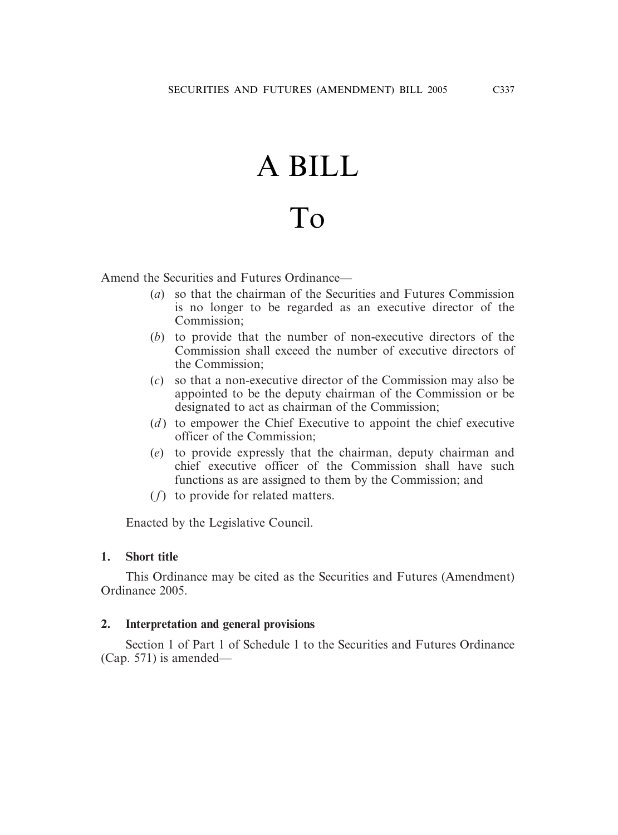# A BILL

## To

Amend the Securities and Futures Ordinance—

- (*a*) so that the chairman of the Securities and Futures Commission is no longer to be regarded as an executive director of the Commission;
- (*b*) to provide that the number of non-executive directors of the Commission shall exceed the number of executive directors of the Commission;
- (*c*) so that a non-executive director of the Commission may also be appointed to be the deputy chairman of the Commission or be designated to act as chairman of the Commission;
- (*d*) to empower the Chief Executive to appoint the chief executive officer of the Commission;
- (*e*) to provide expressly that the chairman, deputy chairman and chief executive officer of the Commission shall have such functions as are assigned to them by the Commission; and
- (*f*) to provide for related matters.

Enacted by the Legislative Council.

#### **1. Short title**

This Ordinance may be cited as the Securities and Futures (Amendment) Ordinance 2005.

#### **2. Interpretation and general provisions**

Section 1 of Part 1 of Schedule 1 to the Securities and Futures Ordinance (Cap. 571) is amended—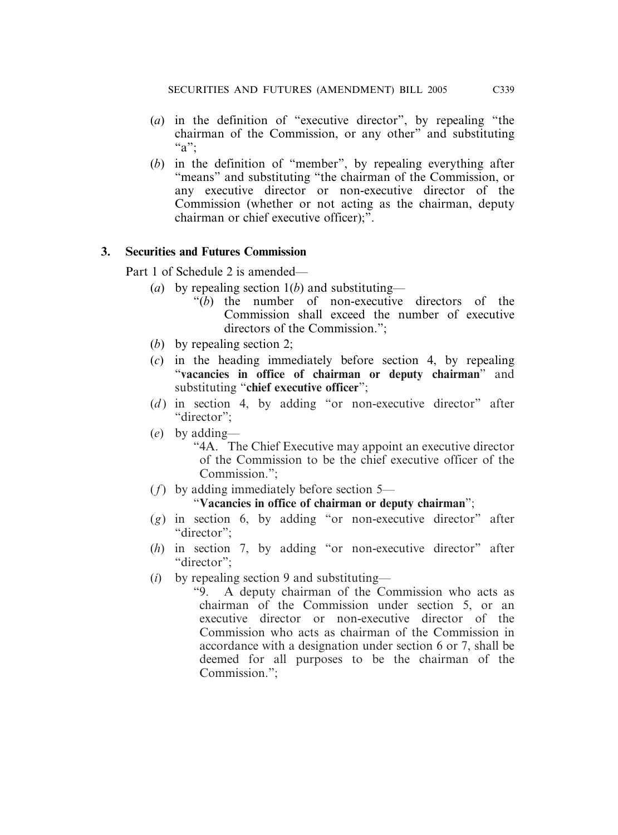- (*a*) in the definition of "executive director", by repealing "the chairman of the Commission, or any other" and substituting "a":
- (*b*) in the definition of "member", by repealing everything after "means" and substituting "the chairman of the Commission, or any executive director or non-executive director of the Commission (whether or not acting as the chairman, deputy chairman or chief executive officer);".

#### **3. Securities and Futures Commission**

Part 1 of Schedule 2 is amended—

- (*a*) by repealing section 1(*b*) and substituting—
	- "(*b*) the number of non-executive directors of the Commission shall exceed the number of executive directors of the Commission.";
- (*b*) by repealing section 2;
- (*c*) in the heading immediately before section 4, by repealing "**vacancies in office of chairman or deputy chairman**" and substituting "**chief executive officer**";
- (*d*) in section 4, by adding "or non-executive director" after "director":
- (*e*) by adding—

"4A. The Chief Executive may appoint an executive director of the Commission to be the chief executive officer of the Commission.";

(*f*) by adding immediately before section 5—

#### "**Vacancies in office of chairman or deputy chairman**";

- (*g*) in section 6, by adding "or non-executive director" after "director":
- (*h*) in section 7, by adding "or non-executive director" after "director":
- (*i*) by repealing section 9 and substituting—
	- "9. A deputy chairman of the Commission who acts as chairman of the Commission under section 5, or an executive director or non-executive director of the Commission who acts as chairman of the Commission in accordance with a designation under section 6 or 7, shall be deemed for all purposes to be the chairman of the Commission.";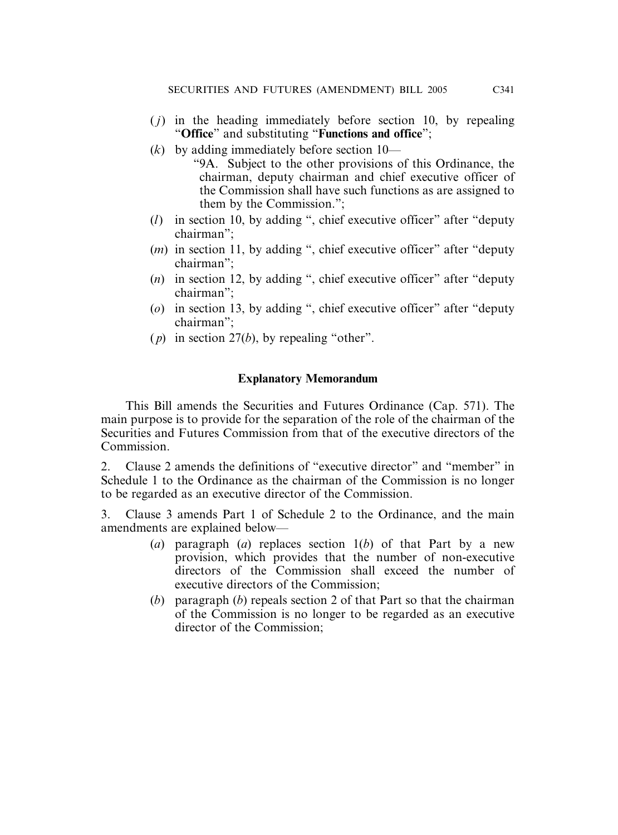- ( *j*) in the heading immediately before section 10, by repealing "**Office**" and substituting "**Functions and office**";
- (*k*) by adding immediately before section 10—
	- "9A. Subject to the other provisions of this Ordinance, the chairman, deputy chairman and chief executive officer of the Commission shall have such functions as are assigned to them by the Commission.";
- (*l*) in section 10, by adding ", chief executive officer" after "deputy chairman";
- (*m*) in section 11, by adding ", chief executive officer" after "deputy chairman";
- (*n*) in section 12, by adding ", chief executive officer" after "deputy chairman";
- (*o*) in section 13, by adding ", chief executive officer" after "deputy chairman";
- ( *p*) in section 27(*b*), by repealing "other".

### **Explanatory Memorandum**

This Bill amends the Securities and Futures Ordinance (Cap. 571). The main purpose is to provide for the separation of the role of the chairman of the Securities and Futures Commission from that of the executive directors of the Commission.

2. Clause 2 amends the definitions of "executive director" and "member" in Schedule 1 to the Ordinance as the chairman of the Commission is no longer to be regarded as an executive director of the Commission.

3. Clause 3 amends Part 1 of Schedule 2 to the Ordinance, and the main amendments are explained below—

- (*a*) paragraph (*a*) replaces section 1(*b*) of that Part by a new provision, which provides that the number of non-executive directors of the Commission shall exceed the number of executive directors of the Commission;
- (*b*) paragraph (*b*) repeals section 2 of that Part so that the chairman of the Commission is no longer to be regarded as an executive director of the Commission;